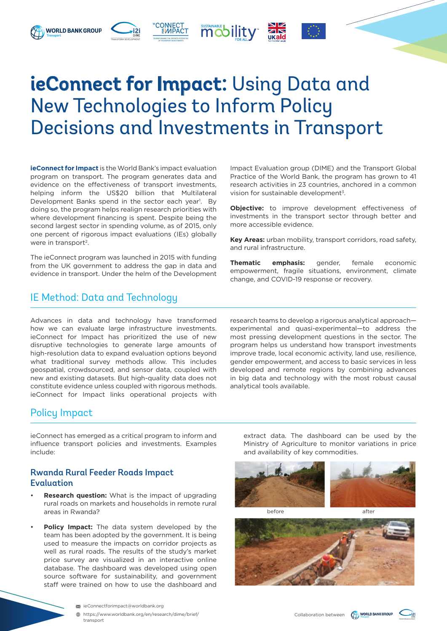# **ieConnect for Impact:** Using Data and New Technologies to Inform Policy Decisions and Investments in Transport

**mobility** 

**ieConnect for Impact** is the World Bank's impact evaluation program on transport. The program generates data and evidence on the effectiveness of transport investments, helping inform the US\$20 billion that Multilateral Development Banks spend in the sector each year<sup>1</sup>. By doing so, the program helps realign research priorities with where development financing is spent. Despite being the second largest sector in spending volume, as of 2015, only one percent of rigorous impact evaluations (IEs) globally were in transport<sup>2</sup>.

**WORLD BANK GROUP** 

The ieConnect program was launched in 2015 with funding from the UK government to address the gap in data and evidence in transport. Under the helm of the Development

## IE Method: Data and Technology

Advances in data and technology have transformed how we can evaluate large infrastructure investments. ieConnect for Impact has prioritized the use of new disruptive technologies to generate large amounts of high-resolution data to expand evaluation options beyond what traditional survey methods allow. This includes geospatial, crowdsourced, and sensor data, coupled with new and existing datasets. But high-quality data does not constitute evidence unless coupled with rigorous methods. ieConnect for Impact links operational projects with Impact Evaluation group (DIME) and the Transport Global Practice of the World Bank, the program has grown to 41 research activities in 23 countries, anchored in a common vision for sustainable development<sup>3</sup>.

**Objective:** to improve development effectiveness of investments in the transport sector through better and more accessible evidence.

**Key Areas:** urban mobility, transport corridors, road safety, and rural infrastructure.

**Thematic emphasis:** gender, female economic empowerment, fragile situations, environment, climate change, and COVID-19 response or recovery.

research teams to develop a rigorous analytical approach experimental and quasi-experimental—to address the most pressing development questions in the sector. The program helps us understand how transport investments improve trade, local economic activity, land use, resilience, gender empowerment, and access to basic services in less developed and remote regions by combining advances in big data and technology with the most robust causal analytical tools available.

## Policy Impact

ieConnect has emerged as a critical program to inform and influence transport policies and investments. Examples include:

#### Rwanda Rural Feeder Roads Impact Evaluation

- **Research question:** What is the impact of upgrading rural roads on markets and households in remote rural areas in Rwanda?
- Policy Impact: The data system developed by the team has been adopted by the government. It is being used to measure the impacts on corridor projects as well as rural roads. The results of the study's market price survey are visualized in an interactive online database. The dashboard was developed using open source software for sustainability, and government staff were trained on how to use the dashboard and

extract data. The dashboard can be used by the Ministry of Agriculture to monitor variations in price and availability of key commodities.





before after





[https://www.worldbank.org/en/research/dime/brief/](https://www.worldbank.org/en/research/dime/brief/transport) [transport](https://www.worldbank.org/en/research/dime/brief/transport)

Collaboration between